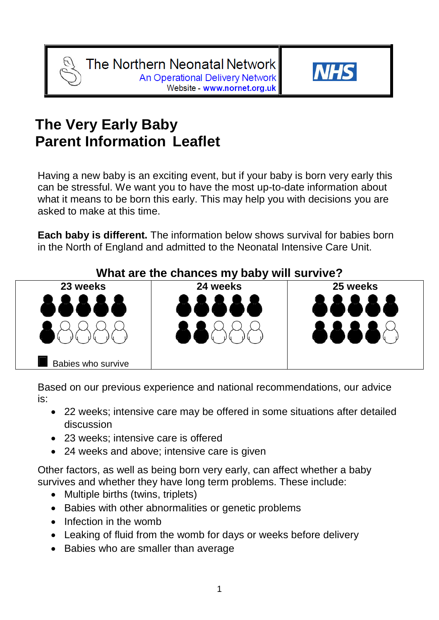

# **The Very Early Baby Parent Information Leaflet**

Having a new baby is an exciting event, but if your baby is born very early this can be stressful. We want you to have the most up-to-date information about what it means to be born this early. This may help you with decisions you are asked to make at this time.

**Each baby is different.** The information below shows survival for babies born in the North of England and admitted to the Neonatal Intensive Care Unit.



Based on our previous experience and national recommendations, our advice is:

- 22 weeks; intensive care may be offered in some situations after detailed discussion
- 23 weeks; intensive care is offered
- 24 weeks and above; intensive care is given

Other factors, as well as being born very early, can affect whether a baby survives and whether they have long term problems. These include:

- Multiple births (twins, triplets)
- Babies with other abnormalities or genetic problems
- Infection in the womb
- Leaking of fluid from the womb for days or weeks before delivery
- Babies who are smaller than average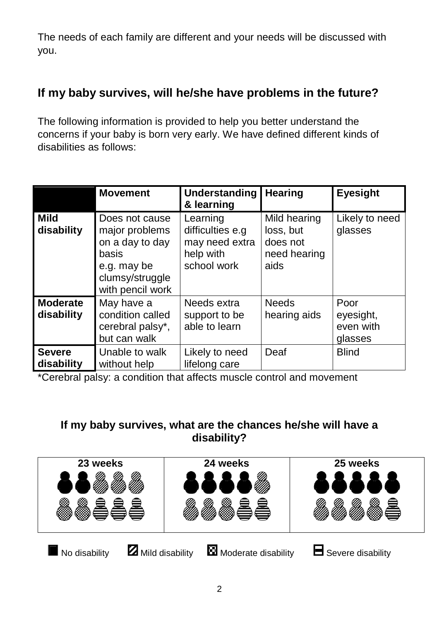The needs of each family are different and your needs will be discussed with you.

### **If my baby survives, will he/she have problems in the future?**

The following information is provided to help you better understand the concerns if your baby is born very early. We have defined different kinds of disabilities as follows:

|                               | <b>Movement</b>                                                                                                    | Understanding<br>& learning                                                | <b>Hearing</b>                                                | <b>Eyesight</b>                           |
|-------------------------------|--------------------------------------------------------------------------------------------------------------------|----------------------------------------------------------------------------|---------------------------------------------------------------|-------------------------------------------|
| <b>Mild</b><br>disability     | Does not cause<br>major problems<br>on a day to day<br>basis<br>e.g. may be<br>clumsy/struggle<br>with pencil work | Learning<br>difficulties e.g<br>may need extra<br>help with<br>school work | Mild hearing<br>loss, but<br>does not<br>need hearing<br>aids | Likely to need<br>glasses                 |
| <b>Moderate</b><br>disability | May have a<br>condition called<br>cerebral palsy*,<br>but can walk                                                 | Needs extra<br>support to be<br>able to learn                              | <b>Needs</b><br>hearing aids                                  | Poor<br>eyesight,<br>even with<br>glasses |
| <b>Severe</b><br>disability   | Unable to walk<br>without help                                                                                     | Likely to need<br>lifelong care                                            | Deaf                                                          | <b>Blind</b>                              |

\*Cerebral palsy: a condition that affects muscle control and movement

### **If my baby survives, what are the chances he/she will have a disability?**